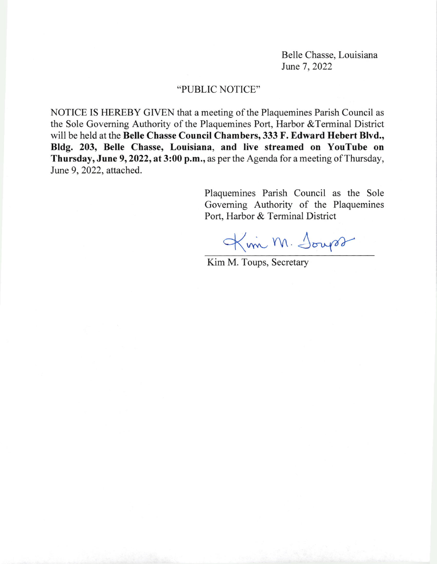Belle Chasse, Louisiana June 7, 2022

## "PUBLIC NOTICE"

NOTICE IS HEREBY GIVEN that a meeting of the Plaquemines Parish Council as the Sole Goveming Authority of the Plaquemines Port, Harbor &Terminal District will be held at the Belle Chasse Council Chambers, 333 F. Edward Hebert Blvd., Bldg. 203, Belle Chasse, Louisiana, and live streamed on YouTube on Thursday, June 9, 2022, at 3:00 p.m., as per the Agenda for a meeting of Thursday, June 9, 2022, attached.

> Plaquemines Parish Council as the Sole Governing Authority of the Plaquemines Port, Harbor & Terminal District

Kim M. Jours

Kim M. Toups, Secretary